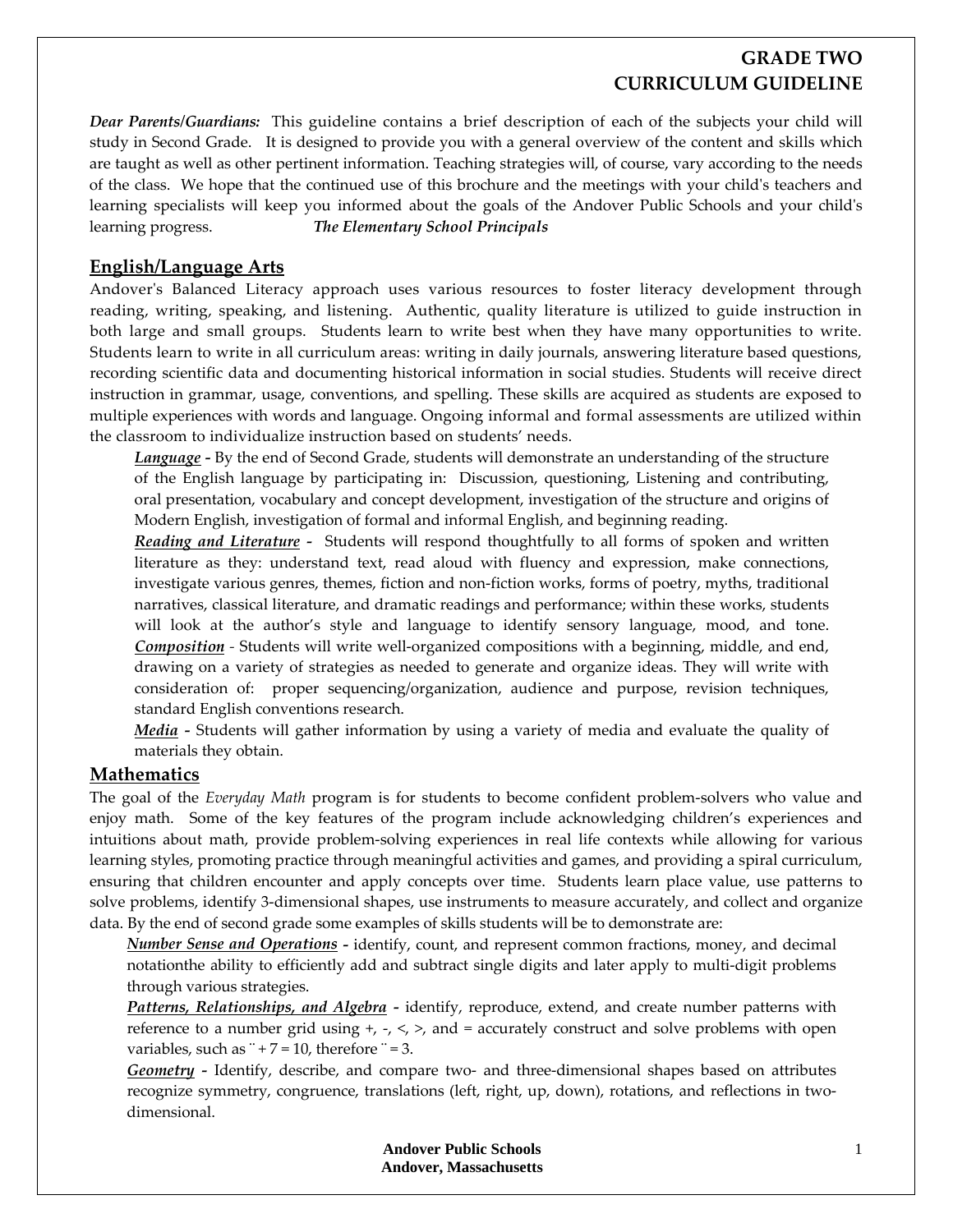## **GRADE TWO CURRICULUM GUIDELINE**

*Dear Parents/Guardians:* This guideline contains a brief description of each of the subjects your child will study in Second Grade. It is designed to provide you with a general overview of the content and skills which are taught as well as other pertinent information. Teaching strategies will, of course, vary according to the needs of the class. We hope that the continued use of this brochure and the meetings with your childʹs teachers and learning specialists will keep you informed about the goals of the Andover Public Schools and your child's learning progress. *The Elementary School Principals*

## **English/Language Arts**

Andover's Balanced Literacy approach uses various resources to foster literacy development through reading, writing, speaking, and listening. Authentic, quality literature is utilized to guide instruction in both large and small groups. Students learn to write best when they have many opportunities to write. Students learn to write in all curriculum areas: writing in daily journals, answering literature based questions, recording scientific data and documenting historical information in social studies. Students will receive direct instruction in grammar, usage, conventions, and spelling. These skills are acquired as students are exposed to multiple experiences with words and language. Ongoing informal and formal assessments are utilized within the classroom to individualize instruction based on students' needs.

*Language* - By the end of Second Grade, students will demonstrate an understanding of the structure of the English language by participating in: Discussion, questioning, Listening and contributing, oral presentation, vocabulary and concept development, investigation of the structure and origins of Modern English, investigation of formal and informal English, and beginning reading.

*Reading and Literature ‐*  Students will respond thoughtfully to all forms of spoken and written literature as they: understand text, read aloud with fluency and expression, make connections, investigate various genres, themes, fiction and non‐fiction works, forms of poetry, myths, traditional narratives, classical literature, and dramatic readings and performance; within these works, students will look at the author's style and language to identify sensory language, mood, and tone. *Composition ‐* Students will write well‐organized compositions with a beginning, middle, and end, drawing on a variety of strategies as needed to generate and organize ideas. They will write with consideration of: proper sequencing/organization, audience and purpose, revision techniques, standard English conventions research.

*Media* - Students will gather information by using a variety of media and evaluate the quality of materials they obtain.

### **Mathematics**

The goal of the *Everyday Math* program is for students to become confident problem‐solvers who value and enjoy math. Some of the key features of the program include acknowledging children's experiences and intuitions about math, provide problem‐solving experiences in real life contexts while allowing for various learning styles, promoting practice through meaningful activities and games, and providing a spiral curriculum, ensuring that children encounter and apply concepts over time. Students learn place value, use patterns to solve problems, identify 3‐dimensional shapes, use instruments to measure accurately, and collect and organize data. By the end of second grade some examples of skills students will be to demonstrate are:

*Number Sense and Operations ‐* identify, count, and represent common fractions, money, and decimal notationthe ability to efficiently add and subtract single digits and later apply to multi‐digit problems through various strategies.

*Patterns, Relationships, and Algebra ‐*  identify, reproduce, extend, and create number patterns with reference to a number grid using  $+$ ,  $-$ ,  $\le$ ,  $\ge$ , and = accurately construct and solve problems with open variables, such as  $+7 = 10$ , therefore  $= 3$ .

*Geometry* - Identify, describe, and compare two- and three-dimensional shapes based on attributes recognize symmetry, congruence, translations (left, right, up, down), rotations, and reflections in twodimensional.

> **Andover Public Schools Andover, Massachusetts**